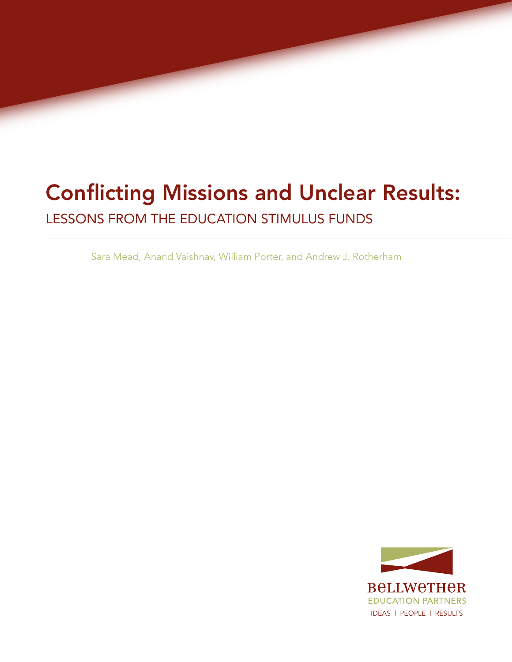# Conflicting Missions and Unclear Results:

Lessons from the Education Stimulus Funds

Sara Mead, Anand Vaishnav, William Porter, and Andrew J. Rotherham

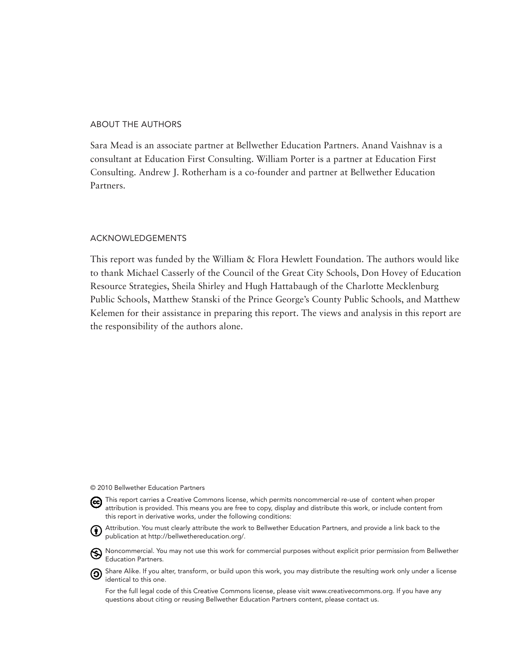#### About the Authors

Sara Mead is an associate partner at Bellwether Education Partners. Anand Vaishnav is a consultant at Education First Consulting. William Porter is a partner at Education First Consulting. Andrew J. Rotherham is a co-founder and partner at Bellwether Education Partners.

#### Acknowledgements

This report was funded by the William & Flora Hewlett Foundation. The authors would like to thank Michael Casserly of the Council of the Great City Schools, Don Hovey of Education Resource Strategies, Sheila Shirley and Hugh Hattabaugh of the Charlotte Mecklenburg Public Schools, Matthew Stanski of the Prince George's County Public Schools, and Matthew Kelemen for their assistance in preparing this report. The views and analysis in this report are the responsibility of the authors alone.

#### © 2010 Bellwether Education Partners



- this report in derivative works, under the following conditions: Attribution. You must clearly attribute the work to Bellwether Education Partners, and provide a link back to the publication at http://bellwethereducation.org/.
	- Noncommercial. You may not use this work for commercial purposes without explicit prior permission from Bellwether Education Partners.
- **O** Share Alike. If you alter, transform, or build upon this work, you may distribute the resulting work only under a license identical to this one.

For the full legal code of this Creative Commons license, please visit www.creativecommons.org. If you have any questions about citing or reusing Bellwether Education Partners content, please contact us.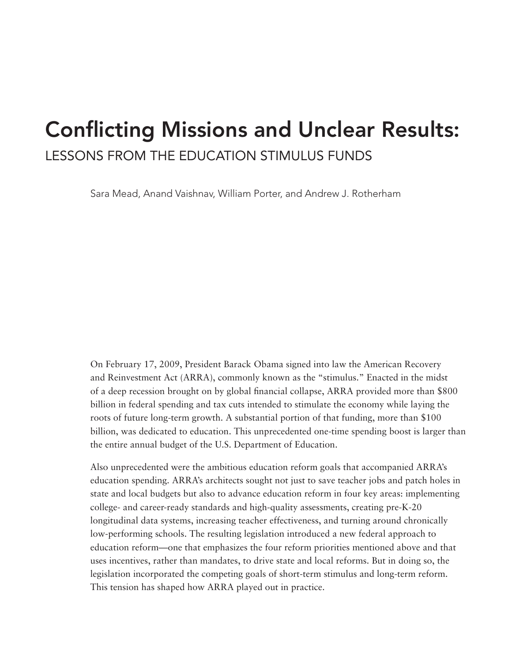# Conflicting Missions and Unclear Results: Lessons from the Education Stimulus Funds

Sara Mead, Anand Vaishnav, William Porter, and Andrew J. Rotherham

On February 17, 2009, President Barack Obama signed into law the American Recovery and Reinvestment Act (ARRA), commonly known as the "stimulus." Enacted in the midst of a deep recession brought on by global financial collapse, ARRA provided more than \$800 billion in federal spending and tax cuts intended to stimulate the economy while laying the roots of future long-term growth. A substantial portion of that funding, more than \$100 billion, was dedicated to education. This unprecedented one-time spending boost is larger than the entire annual budget of the U.S. Department of Education.

Also unprecedented were the ambitious education reform goals that accompanied ARRA's education spending. ARRA's architects sought not just to save teacher jobs and patch holes in state and local budgets but also to advance education reform in four key areas: implementing college- and career-ready standards and high-quality assessments, creating pre-K-20 longitudinal data systems, increasing teacher effectiveness, and turning around chronically low-performing schools. The resulting legislation introduced a new federal approach to education reform—one that emphasizes the four reform priorities mentioned above and that uses incentives, rather than mandates, to drive state and local reforms. But in doing so, the legislation incorporated the competing goals of short-term stimulus and long-term reform. This tension has shaped how ARRA played out in practice.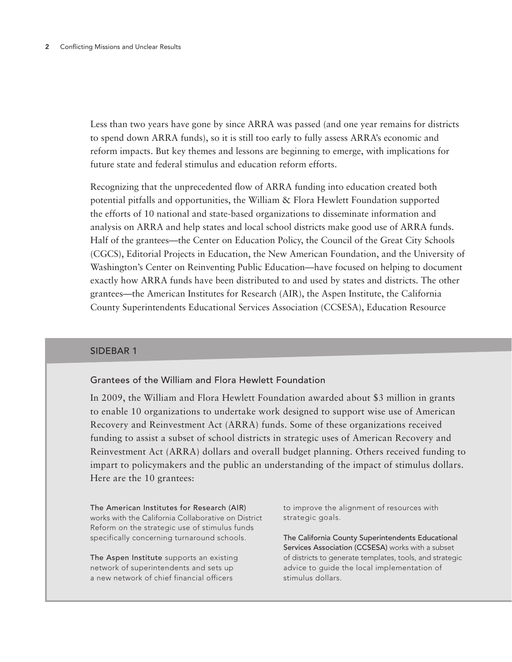Less than two years have gone by since ARRA was passed (and one year remains for districts to spend down ARRA funds), so it is still too early to fully assess ARRA's economic and reform impacts. But key themes and lessons are beginning to emerge, with implications for future state and federal stimulus and education reform efforts.

Recognizing that the unprecedented flow of ARRA funding into education created both potential pitfalls and opportunities, the William & Flora Hewlett Foundation supported the efforts of 10 national and state-based organizations to disseminate information and analysis on ARRA and help states and local school districts make good use of ARRA funds. Half of the grantees—the Center on Education Policy, the Council of the Great City Schools (CGCS), Editorial Projects in Education, the New American Foundation, and the University of Washington's Center on Reinventing Public Education—have focused on helping to document exactly how ARRA funds have been distributed to and used by states and districts. The other grantees—the American Institutes for Research (AIR), the Aspen Institute, the California County Superintendents Educational Services Association (CCSESA), Education Resource

#### SIDEBAR 1

# Grantees of the William and Flora Hewlett Foundation

In 2009, the William and Flora Hewlett Foundation awarded about \$3 million in grants to enable 10 organizations to undertake work designed to support wise use of American Recovery and Reinvestment Act (ARRA) funds. Some of these organizations received funding to assist a subset of school districts in strategic uses of American Recovery and Reinvestment Act (ARRA) dollars and overall budget planning. Others received funding to impart to policymakers and the public an understanding of the impact of stimulus dollars. Here are the 10 grantees:

The American Institutes for Research (AIR) works with the California Collaborative on District Reform on the strategic use of stimulus funds specifically concerning turnaround schools.

The Aspen Institute supports an existing network of superintendents and sets up a new network of chief financial officers

to improve the alignment of resources with strategic goals.

The California County Superintendents Educational Services Association (CCSESA) works with a subset of districts to generate templates, tools, and strategic advice to guide the local implementation of stimulus dollars.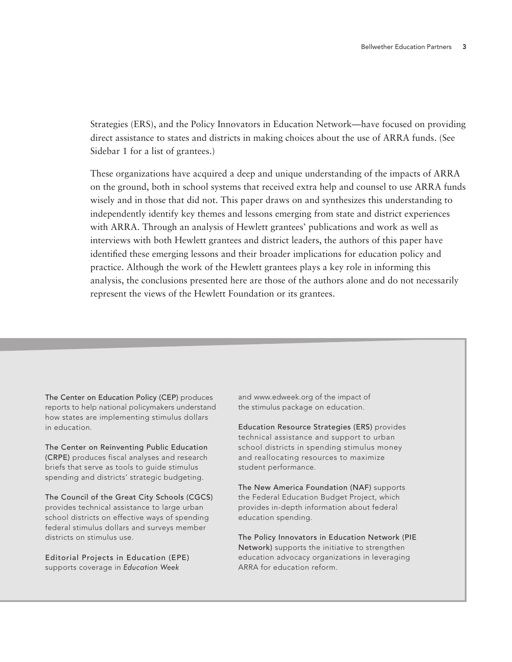Strategies (ERS), and the Policy Innovators in Education Network—have focused on providing direct assistance to states and districts in making choices about the use of ARRA funds. (See Sidebar 1 for a list of grantees.)

These organizations have acquired a deep and unique understanding of the impacts of ARRA on the ground, both in school systems that received extra help and counsel to use ARRA funds wisely and in those that did not. This paper draws on and synthesizes this understanding to independently identify key themes and lessons emerging from state and district experiences with ARRA. Through an analysis of Hewlett grantees' publications and work as well as interviews with both Hewlett grantees and district leaders, the authors of this paper have identified these emerging lessons and their broader implications for education policy and practice. Although the work of the Hewlett grantees plays a key role in informing this analysis, the conclusions presented here are those of the authors alone and do not necessarily represent the views of the Hewlett Foundation or its grantees.

The Center on Education Policy (CEP) produces reports to help national policymakers understand how states are implementing stimulus dollars in education.

The Center on Reinventing Public Education (CRPE) produces fiscal analyses and research briefs that serve as tools to guide stimulus spending and districts' strategic budgeting.

The Council of the Great City Schools (CGCS) provides technical assistance to large urban school districts on effective ways of spending federal stimulus dollars and surveys member districts on stimulus use.

Editorial Projects in Education (EPE) supports coverage in *Education Week*

and www.edweek.org of the impact of the stimulus package on education.

Education Resource Strategies (ERS) provides technical assistance and support to urban school districts in spending stimulus money and reallocating resources to maximize student performance.

The New America Foundation (NAF) supports the Federal Education Budget Project, which provides in-depth information about federal education spending.

The Policy Innovators in Education Network (PIE Network) supports the initiative to strengthen education advocacy organizations in leveraging ARRA for education reform.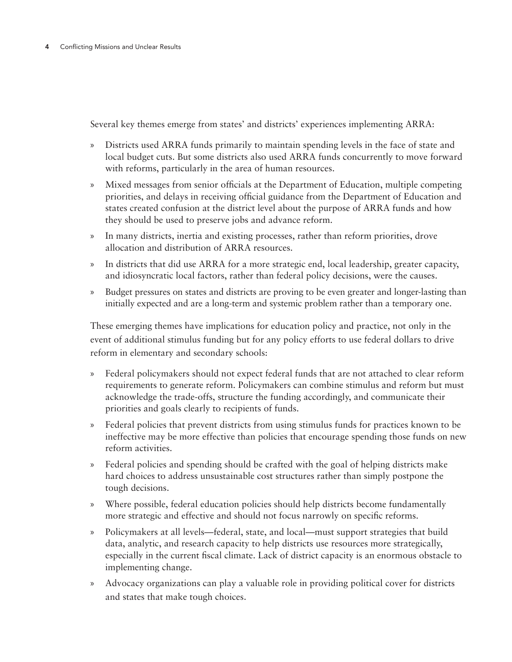Several key themes emerge from states' and districts' experiences implementing ARRA:

- » Districts used ARRA funds primarily to maintain spending levels in the face of state and local budget cuts. But some districts also used ARRA funds concurrently to move forward with reforms, particularly in the area of human resources.
- » Mixed messages from senior officials at the Department of Education, multiple competing priorities, and delays in receiving official guidance from the Department of Education and states created confusion at the district level about the purpose of ARRA funds and how they should be used to preserve jobs and advance reform.
- » In many districts, inertia and existing processes, rather than reform priorities, drove allocation and distribution of ARRA resources.
- » In districts that did use ARRA for a more strategic end, local leadership, greater capacity, and idiosyncratic local factors, rather than federal policy decisions, were the causes.
- » Budget pressures on states and districts are proving to be even greater and longer-lasting than initially expected and are a long-term and systemic problem rather than a temporary one.

These emerging themes have implications for education policy and practice, not only in the event of additional stimulus funding but for any policy efforts to use federal dollars to drive reform in elementary and secondary schools:

- » Federal policymakers should not expect federal funds that are not attached to clear reform requirements to generate reform. Policymakers can combine stimulus and reform but must acknowledge the trade-offs, structure the funding accordingly, and communicate their priorities and goals clearly to recipients of funds.
- » Federal policies that prevent districts from using stimulus funds for practices known to be ineffective may be more effective than policies that encourage spending those funds on new reform activities.
- » Federal policies and spending should be crafted with the goal of helping districts make hard choices to address unsustainable cost structures rather than simply postpone the tough decisions.
- » Where possible, federal education policies should help districts become fundamentally more strategic and effective and should not focus narrowly on specific reforms.
- » Policymakers at all levels—federal, state, and local—must support strategies that build data, analytic, and research capacity to help districts use resources more strategically, especially in the current fiscal climate. Lack of district capacity is an enormous obstacle to implementing change.
- » Advocacy organizations can play a valuable role in providing political cover for districts and states that make tough choices.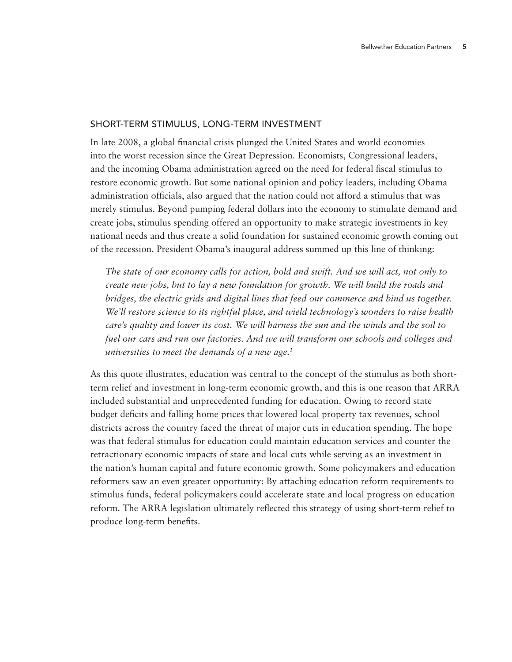#### Short-Term Stimulus, Long-Term Investment

In late 2008, a global financial crisis plunged the United States and world economies into the worst recession since the Great Depression. Economists, Congressional leaders, and the incoming Obama administration agreed on the need for federal fiscal stimulus to restore economic growth. But some national opinion and policy leaders, including Obama administration officials, also argued that the nation could not afford a stimulus that was merely stimulus. Beyond pumping federal dollars into the economy to stimulate demand and create jobs, stimulus spending offered an opportunity to make strategic investments in key national needs and thus create a solid foundation for sustained economic growth coming out of the recession. President Obama's inaugural address summed up this line of thinking:

*The state of our economy calls for action, bold and swift. And we will act, not only to create new jobs, but to lay a new foundation for growth. We will build the roads and bridges, the electric grids and digital lines that feed our commerce and bind us together. We'll restore science to its rightful place, and wield technology's wonders to raise health care's quality and lower its cost. We will harness the sun and the winds and the soil to fuel our cars and run our factories. And we will transform our schools and colleges and universities to meet the demands of a new age.1*

As this quote illustrates, education was central to the concept of the stimulus as both shortterm relief and investment in long-term economic growth, and this is one reason that ARRA included substantial and unprecedented funding for education. Owing to record state budget deficits and falling home prices that lowered local property tax revenues, school districts across the country faced the threat of major cuts in education spending. The hope was that federal stimulus for education could maintain education services and counter the retractionary economic impacts of state and local cuts while serving as an investment in the nation's human capital and future economic growth. Some policymakers and education reformers saw an even greater opportunity: By attaching education reform requirements to stimulus funds, federal policymakers could accelerate state and local progress on education reform. The ARRA legislation ultimately reflected this strategy of using short-term relief to produce long-term benefits.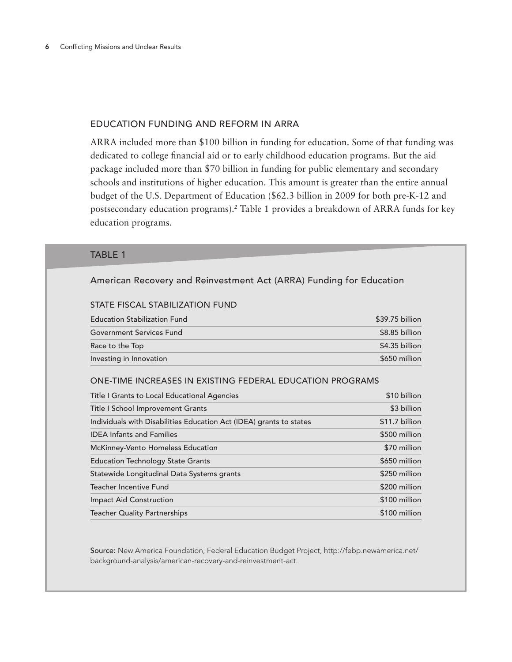#### Education Funding and Reform in ARRA

ARRA included more than \$100 billion in funding for education. Some of that funding was dedicated to college financial aid or to early childhood education programs. But the aid package included more than \$70 billion in funding for public elementary and secondary schools and institutions of higher education. This amount is greater than the entire annual budget of the U.S. Department of Education (\$62.3 billion in 2009 for both pre-K-12 and postsecondary education programs).*<sup>2</sup>* Table 1 provides a breakdown of ARRA funds for key education programs.

# **TABLE 1**

# American Recovery and Reinvestment Act (ARRA) Funding for Education

#### STATE FISCAL STABILIZATION FUND

| <b>Education Stabilization Fund</b> | $$39.75$ billion |
|-------------------------------------|------------------|
| <b>Government Services Fund</b>     | $$8.85$ billion  |
| Race to the Top                     | $$4.35$ billion  |
| Investing in Innovation             | \$650 million    |

#### One-time increases in existing federal education programs

| Title I Grants to Local Educational Agencies                        | \$10 billion   |
|---------------------------------------------------------------------|----------------|
| Title I School Improvement Grants                                   | \$3 billion    |
| Individuals with Disabilities Education Act (IDEA) grants to states | \$11.7 billion |
| <b>IDEA Infants and Families</b>                                    | \$500 million  |
| McKinney-Vento Homeless Education                                   | \$70 million   |
| <b>Education Technology State Grants</b>                            | \$650 million  |
| Statewide Longitudinal Data Systems grants                          | \$250 million  |
| Teacher Incentive Fund                                              | \$200 million  |
| <b>Impact Aid Construction</b>                                      | \$100 million  |
| <b>Teacher Quality Partnerships</b>                                 | \$100 million  |

Source: New America Foundation, Federal Education Budget Project, http://febp.newamerica.net/ background-analysis/american-recovery-and-reinvestment-act.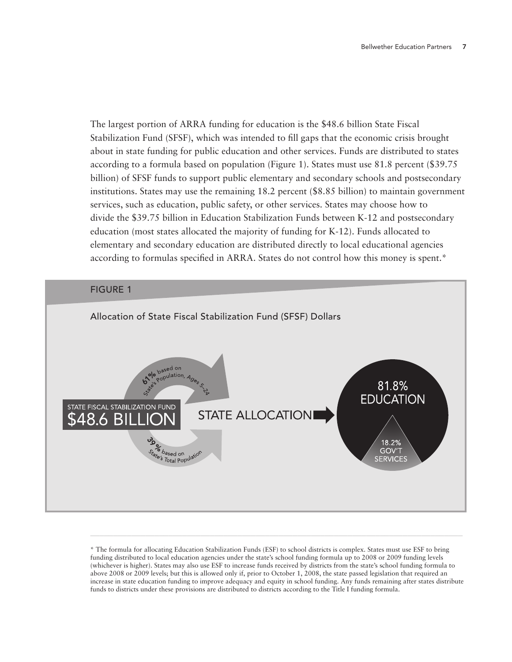The largest portion of ARRA funding for education is the \$48.6 billion State Fiscal Stabilization Fund (SFSF), which was intended to fill gaps that the economic crisis brought about in state funding for public education and other services. Funds are distributed to states according to a formula based on population (Figure 1). States must use 81.8 percent (\$39.75 billion) of SFSF funds to support public elementary and secondary schools and postsecondary institutions. States may use the remaining 18.2 percent (\$8.85 billion) to maintain government services, such as education, public safety, or other services. States may choose how to divide the \$39.75 billion in Education Stabilization Funds between K-12 and postsecondary education (most states allocated the majority of funding for K-12). Funds allocated to elementary and secondary education are distributed directly to local educational agencies according to formulas specified in ARRA. States do not control how this money is spent.\*



<sup>\*</sup> The formula for allocating Education Stabilization Funds (ESF) to school districts is complex. States must use ESF to bring funding distributed to local education agencies under the state's school funding formula up to 2008 or 2009 funding levels (whichever is higher). States may also use ESF to increase funds received by districts from the state's school funding formula to above 2008 or 2009 levels; but this is allowed only if, prior to October 1, 2008, the state passed legislation that required an increase in state education funding to improve adequacy and equity in school funding. Any funds remaining after states distribute funds to districts under these provisions are distributed to districts according to the Title I funding formula.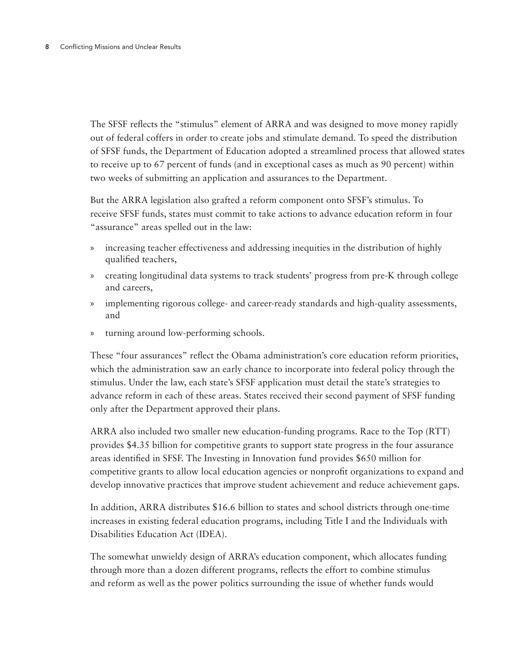The SFSF reflects the "stimulus" element of ARRA and was designed to move money rapidly out of federal coffers in order to create jobs and stimulate demand. To speed the distribution of SFSF funds, the Department of Education adopted a streamlined process that allowed states to receive up to 67 percent of funds (and in exceptional cases as much as 90 percent) within two weeks of submitting an application and assurances to the Department.

But the ARRA legislation also grafted a reform component onto SFSF's stimulus. To receive SFSF funds, states must commit to take actions to advance education reform in four "assurance" areas spelled out in the law:

- » increasing teacher effectiveness and addressing inequities in the distribution of highly qualified teachers,
- » creating longitudinal data systems to track students' progress from pre-K through college and careers,
- » implementing rigorous college- and career-ready standards and high-quality assessments, and
- » turning around low-performing schools.

These "four assurances" reflect the Obama administration's core education reform priorities, which the administration saw an early chance to incorporate into federal policy through the stimulus. Under the law, each state's SFSF application must detail the state's strategies to advance reform in each of these areas. States received their second payment of SFSF funding only after the Department approved their plans.

ARRA also included two smaller new education-funding programs. Race to the Top (RTT) provides \$4.35 billion for competitive grants to support state progress in the four assurance areas identified in SFSF. The Investing in Innovation fund provides \$650 million for competitive grants to allow local education agencies or nonprofit organizations to expand and develop innovative practices that improve student achievement and reduce achievement gaps.

In addition, ARRA distributes \$16.6 billion to states and school districts through one-time increases in existing federal education programs, including Title I and the Individuals with Disabilities Education Act (IDEA).

The somewhat unwieldy design of ARRA's education component, which allocates funding through more than a dozen different programs, reflects the effort to combine stimulus and reform as well as the power politics surrounding the issue of whether funds would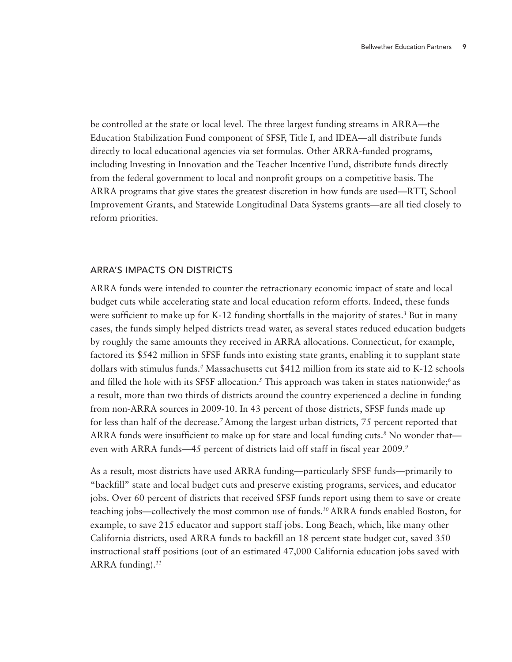be controlled at the state or local level. The three largest funding streams in ARRA—the Education Stabilization Fund component of SFSF, Title I, and IDEA—all distribute funds directly to local educational agencies via set formulas. Other ARRA-funded programs, including Investing in Innovation and the Teacher Incentive Fund, distribute funds directly from the federal government to local and nonprofit groups on a competitive basis. The ARRA programs that give states the greatest discretion in how funds are used—RTT, School Improvement Grants, and Statewide Longitudinal Data Systems grants—are all tied closely to reform priorities.

#### ARRA's Impacts on Districts

ARRA funds were intended to counter the retractionary economic impact of state and local budget cuts while accelerating state and local education reform efforts. Indeed, these funds were sufficient to make up for K-12 funding shortfalls in the majority of states.*<sup>3</sup>* But in many cases, the funds simply helped districts tread water, as several states reduced education budgets by roughly the same amounts they received in ARRA allocations. Connecticut, for example, factored its \$542 million in SFSF funds into existing state grants, enabling it to supplant state dollars with stimulus funds.*<sup>4</sup>* Massachusetts cut \$412 million from its state aid to K-12 schools and filled the hole with its SFSF allocation.*<sup>5</sup>* This approach was taken in states nationwide;*6* as a result, more than two thirds of districts around the country experienced a decline in funding from non-ARRA sources in 2009-10. In 43 percent of those districts, SFSF funds made up for less than half of the decrease.*7* Among the largest urban districts, 75 percent reported that ARRA funds were insufficient to make up for state and local funding cuts.<sup>8</sup> No wonder that even with ARRA funds—45 percent of districts laid off staff in fiscal year 2009.*<sup>9</sup>*

As a result, most districts have used ARRA funding—particularly SFSF funds—primarily to "backfill" state and local budget cuts and preserve existing programs, services, and educator jobs. Over 60 percent of districts that received SFSF funds report using them to save or create teaching jobs—collectively the most common use of funds.*10* ARRA funds enabled Boston, for example, to save 215 educator and support staff jobs. Long Beach, which, like many other California districts, used ARRA funds to backfill an 18 percent state budget cut, saved 350 instructional staff positions (out of an estimated 47,000 California education jobs saved with ARRA funding).*11*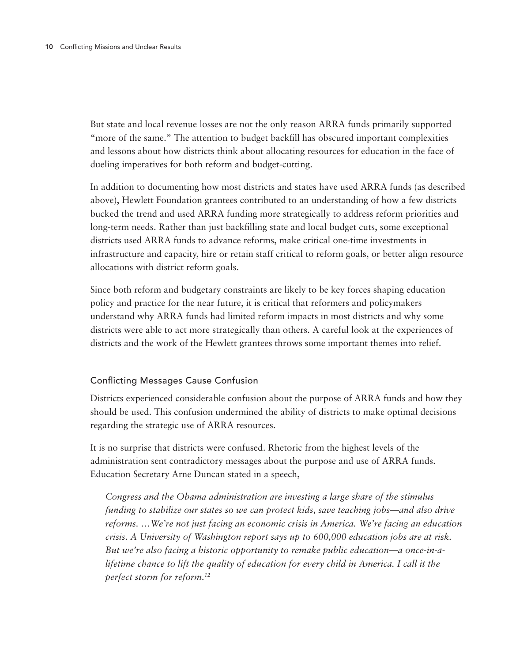But state and local revenue losses are not the only reason ARRA funds primarily supported "more of the same." The attention to budget backfill has obscured important complexities and lessons about how districts think about allocating resources for education in the face of dueling imperatives for both reform and budget-cutting.

In addition to documenting how most districts and states have used ARRA funds (as described above), Hewlett Foundation grantees contributed to an understanding of how a few districts bucked the trend and used ARRA funding more strategically to address reform priorities and long-term needs. Rather than just backfilling state and local budget cuts, some exceptional districts used ARRA funds to advance reforms, make critical one-time investments in infrastructure and capacity, hire or retain staff critical to reform goals, or better align resource allocations with district reform goals.

Since both reform and budgetary constraints are likely to be key forces shaping education policy and practice for the near future, it is critical that reformers and policymakers understand why ARRA funds had limited reform impacts in most districts and why some districts were able to act more strategically than others. A careful look at the experiences of districts and the work of the Hewlett grantees throws some important themes into relief.

# Conflicting Messages Cause Confusion

Districts experienced considerable confusion about the purpose of ARRA funds and how they should be used. This confusion undermined the ability of districts to make optimal decisions regarding the strategic use of ARRA resources.

It is no surprise that districts were confused. Rhetoric from the highest levels of the administration sent contradictory messages about the purpose and use of ARRA funds. Education Secretary Arne Duncan stated in a speech,

*Congress and the Obama administration are investing a large share of the stimulus funding to stabilize our states so we can protect kids, save teaching jobs—and also drive reforms. …We're not just facing an economic crisis in America. We're facing an education crisis. A University of Washington report says up to 600,000 education jobs are at risk. But we're also facing a historic opportunity to remake public education—a once-in-alifetime chance to lift the quality of education for every child in America. I call it the perfect storm for reform.12*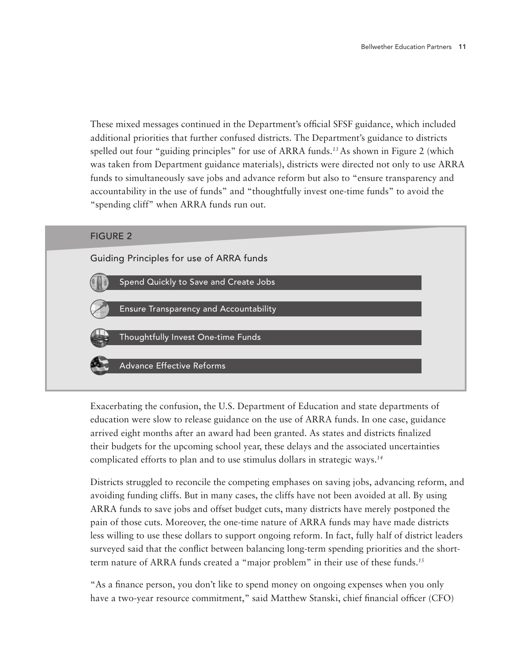These mixed messages continued in the Department's official SFSF guidance, which included additional priorities that further confused districts. The Department's guidance to districts spelled out four "guiding principles" for use of ARRA funds.*13* As shown in Figure 2 (which was taken from Department guidance materials), districts were directed not only to use ARRA funds to simultaneously save jobs and advance reform but also to "ensure transparency and accountability in the use of funds" and "thoughtfully invest one-time funds" to avoid the "spending cliff" when ARRA funds run out.



Exacerbating the confusion, the U.S. Department of Education and state departments of education were slow to release guidance on the use of ARRA funds. In one case, guidance arrived eight months after an award had been granted. As states and districts finalized their budgets for the upcoming school year, these delays and the associated uncertainties complicated efforts to plan and to use stimulus dollars in strategic ways.*<sup>14</sup>*

Districts struggled to reconcile the competing emphases on saving jobs, advancing reform, and avoiding funding cliffs. But in many cases, the cliffs have not been avoided at all. By using ARRA funds to save jobs and offset budget cuts, many districts have merely postponed the pain of those cuts. Moreover, the one-time nature of ARRA funds may have made districts less willing to use these dollars to support ongoing reform. In fact, fully half of district leaders surveyed said that the conflict between balancing long-term spending priorities and the shortterm nature of ARRA funds created a "major problem" in their use of these funds.*<sup>15</sup>*

"As a finance person, you don't like to spend money on ongoing expenses when you only have a two-year resource commitment," said Matthew Stanski, chief financial officer (CFO)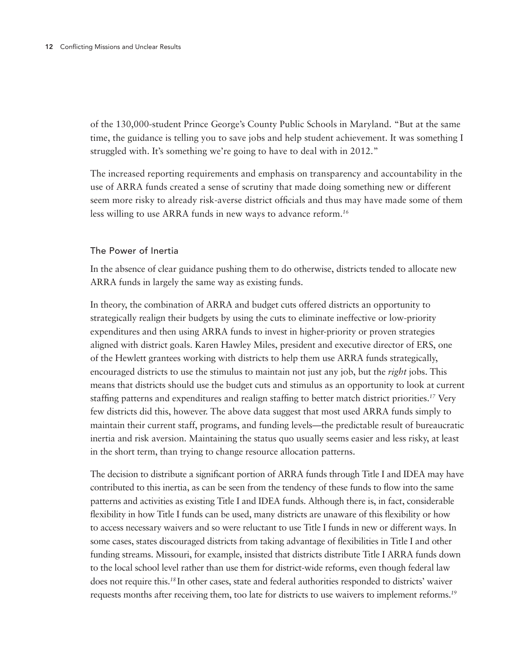of the 130,000-student Prince George's County Public Schools in Maryland. "But at the same time, the guidance is telling you to save jobs and help student achievement. It was something I struggled with. It's something we're going to have to deal with in 2012."

The increased reporting requirements and emphasis on transparency and accountability in the use of ARRA funds created a sense of scrutiny that made doing something new or different seem more risky to already risk-averse district officials and thus may have made some of them less willing to use ARRA funds in new ways to advance reform.*<sup>16</sup>*

### The Power of Inertia

In the absence of clear guidance pushing them to do otherwise, districts tended to allocate new ARRA funds in largely the same way as existing funds.

In theory, the combination of ARRA and budget cuts offered districts an opportunity to strategically realign their budgets by using the cuts to eliminate ineffective or low-priority expenditures and then using ARRA funds to invest in higher-priority or proven strategies aligned with district goals. Karen Hawley Miles, president and executive director of ERS, one of the Hewlett grantees working with districts to help them use ARRA funds strategically, encouraged districts to use the stimulus to maintain not just any job, but the *right* jobs. This means that districts should use the budget cuts and stimulus as an opportunity to look at current staffing patterns and expenditures and realign staffing to better match district priorities.*17* Very few districts did this, however. The above data suggest that most used ARRA funds simply to maintain their current staff, programs, and funding levels—the predictable result of bureaucratic inertia and risk aversion. Maintaining the status quo usually seems easier and less risky, at least in the short term, than trying to change resource allocation patterns.

The decision to distribute a significant portion of ARRA funds through Title I and IDEA may have contributed to this inertia, as can be seen from the tendency of these funds to flow into the same patterns and activities as existing Title I and IDEA funds. Although there is, in fact, considerable flexibility in how Title I funds can be used, many districts are unaware of this flexibility or how to access necessary waivers and so were reluctant to use Title I funds in new or different ways. In some cases, states discouraged districts from taking advantage of flexibilities in Title I and other funding streams. Missouri, for example, insisted that districts distribute Title I ARRA funds down to the local school level rather than use them for district-wide reforms, even though federal law does not require this.*<sup>18</sup>*In other cases, state and federal authorities responded to districts' waiver requests months after receiving them, too late for districts to use waivers to implement reforms.*19*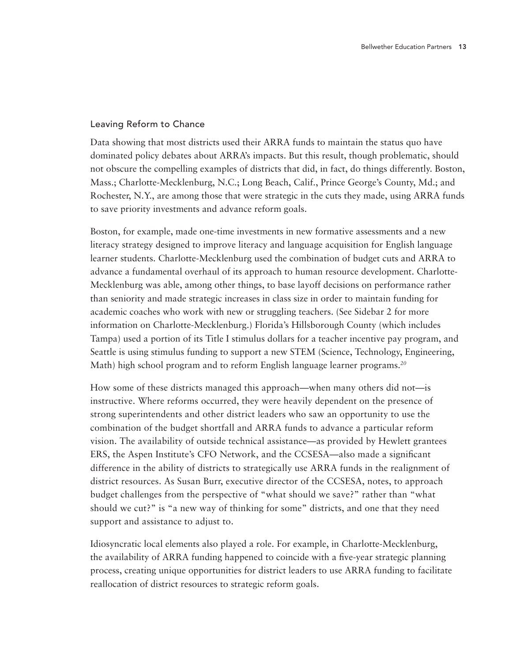# Leaving Reform to Chance

Data showing that most districts used their ARRA funds to maintain the status quo have dominated policy debates about ARRA's impacts. But this result, though problematic, should not obscure the compelling examples of districts that did, in fact, do things differently. Boston, Mass.; Charlotte-Mecklenburg, N.C.; Long Beach, Calif., Prince George's County, Md.; and Rochester, N.Y., are among those that were strategic in the cuts they made, using ARRA funds to save priority investments and advance reform goals.

Boston, for example, made one-time investments in new formative assessments and a new literacy strategy designed to improve literacy and language acquisition for English language learner students. Charlotte-Mecklenburg used the combination of budget cuts and ARRA to advance a fundamental overhaul of its approach to human resource development. Charlotte-Mecklenburg was able, among other things, to base layoff decisions on performance rather than seniority and made strategic increases in class size in order to maintain funding for academic coaches who work with new or struggling teachers. (See Sidebar 2 for more information on Charlotte-Mecklenburg.) Florida's Hillsborough County (which includes Tampa) used a portion of its Title I stimulus dollars for a teacher incentive pay program, and Seattle is using stimulus funding to support a new STEM (Science, Technology, Engineering, Math) high school program and to reform English language learner programs.*<sup>20</sup>*

How some of these districts managed this approach—when many others did not—is instructive. Where reforms occurred, they were heavily dependent on the presence of strong superintendents and other district leaders who saw an opportunity to use the combination of the budget shortfall and ARRA funds to advance a particular reform vision. The availability of outside technical assistance—as provided by Hewlett grantees ERS, the Aspen Institute's CFO Network, and the CCSESA—also made a significant difference in the ability of districts to strategically use ARRA funds in the realignment of district resources. As Susan Burr, executive director of the CCSESA, notes, to approach budget challenges from the perspective of "what should we save?" rather than "what should we cut?" is "a new way of thinking for some" districts, and one that they need support and assistance to adjust to.

Idiosyncratic local elements also played a role. For example, in Charlotte-Mecklenburg, the availability of ARRA funding happened to coincide with a five-year strategic planning process, creating unique opportunities for district leaders to use ARRA funding to facilitate reallocation of district resources to strategic reform goals.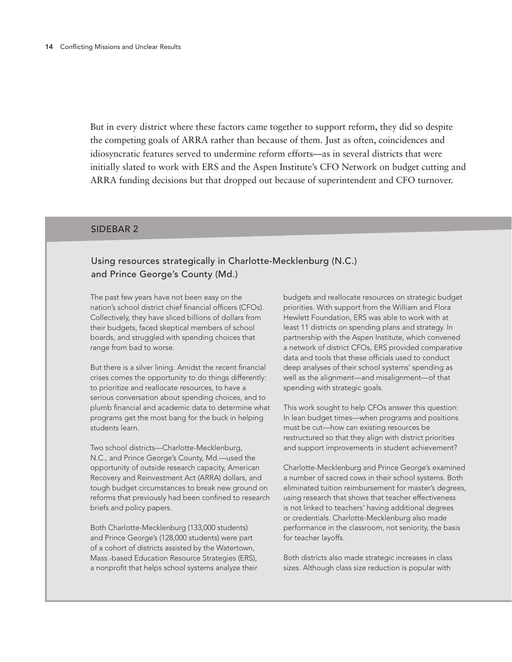But in every district where these factors came together to support reform, they did so despite the competing goals of ARRA rather than because of them. Just as often, coincidences and idiosyncratic features served to undermine reform efforts—as in several districts that were initially slated to work with ERS and the Aspen Institute's CFO Network on budget cutting and ARRA funding decisions but that dropped out because of superintendent and CFO turnover.

#### SIDEBAR 2

# Using resources strategically in Charlotte-Mecklenburg (N.C.) and Prince George's County (Md.)

The past few years have not been easy on the nation's school district chief financial officers (CFOs). Collectively, they have sliced billions of dollars from their budgets, faced skeptical members of school boards, and struggled with spending choices that range from bad to worse.

But there is a silver lining. Amidst the recent financial crises comes the opportunity to do things differently: to prioritize and reallocate resources, to have a serious conversation about spending choices, and to plumb financial and academic data to determine what programs get the most bang for the buck in helping students learn.

Two school districts—Charlotte-Mecklenburg, N.C., and Prince George's County, Md.—used the opportunity of outside research capacity, American Recovery and Reinvestment Act (ARRA) dollars, and tough budget circumstances to break new ground on reforms that previously had been confined to research briefs and policy papers.

Both Charlotte-Mecklenburg (133,000 students) and Prince George's (128,000 students) were part of a cohort of districts assisted by the Watertown, Mass.-based Education Resource Strategies (ERS), a nonprofit that helps school systems analyze their budgets and reallocate resources on strategic budget priorities. With support from the William and Flora Hewlett Foundation, ERS was able to work with at least 11 districts on spending plans and strategy. In partnership with the Aspen Institute, which convened a network of district CFOs, ERS provided comparative data and tools that these officials used to conduct deep analyses of their school systems' spending as well as the alignment—and misalignment—of that spending with strategic goals.

This work sought to help CFOs answer this question: In lean budget times—when programs and positions must be cut—how can existing resources be restructured so that they align with district priorities and support improvements in student achievement?

Charlotte-Mecklenburg and Prince George's examined a number of sacred cows in their school systems. Both eliminated tuition reimbursement for master's degrees, using research that shows that teacher effectiveness is not linked to teachers' having additional degrees or credentials. Charlotte-Mecklenburg also made performance in the classroom, not seniority, the basis for teacher layoffs.

Both districts also made strategic increases in class sizes. Although class size reduction is popular with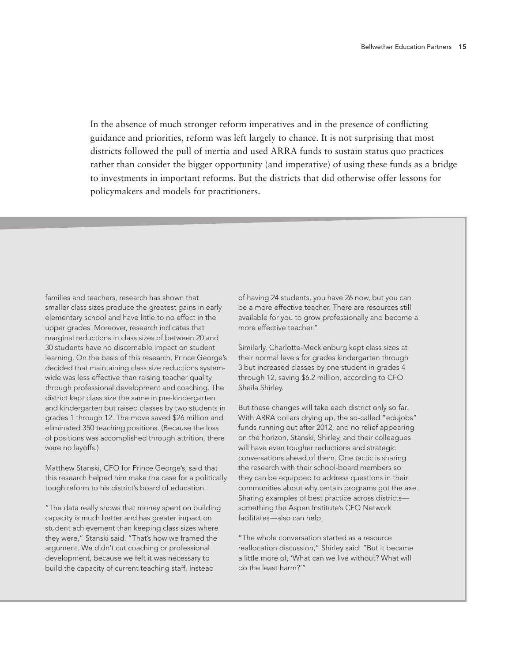In the absence of much stronger reform imperatives and in the presence of conflicting guidance and priorities, reform was left largely to chance. It is not surprising that most districts followed the pull of inertia and used ARRA funds to sustain status quo practices rather than consider the bigger opportunity (and imperative) of using these funds as a bridge to investments in important reforms. But the districts that did otherwise offer lessons for policymakers and models for practitioners.

families and teachers, research has shown that **county, A.**<br>Go  $t$  denotes, research nas shown that  $\sim$ smaller class sizes produce the greatest gains in early elementary school and have little to no effect in the upper grades. Moreover, research indicates that mo thons in class sizes of between zo and 30 students have no discernable impact on student decided that maintaining class size reductions system-3 bu wide was less effective than raising teacher quality that is that is a student of the students of the students<br>And the students of the students of the students of the students of the students of the students of the studen through professional development and coaching. The district kept class size the same in pre-kindergarten and kindergarten but raised classes by two students in But grades 1 through 12. The move saved \$26 million and V eliminated 350 teaching positions. (Because the loss fu of positions was accomplished through attrition, there  $\mathbf{S}$ .) with at least with at least with at least with at least  $\mathbf{W}$ marginal reductions in class sizes of between 20 and learning. On the basis of this research, Prince George's were no layoffs.)

 $11$  districts on spending plans and strategy. Matthew Stanski, CFO for Prince George's, said that the th this research helped him make the case for a politically tough reform to his district's board of education.

these officials used to conduct deep analyses "The data really shows that money spent on building  $\blacksquare$ capacity is much better and has greater impact on<br>student achievement than keeping class sizes where student achievement than keeping class sizes where<br>they were," Stanski said. "That's how we framed the argument. We didn't cut coaching or professional  $t$  because we fell it was necessary to  $\epsilon$ build the capacity of current teaching staff. Instead capacity is much better and has greater impact on development, because we felt it was necessary to

Charlotte-Mecklenburg and Prince George's of having 24 students, you have 26 now, but you can be a more effective teacher. There are resources still available for you to grow professionally and become a reimbursement for master for masterial and master  $\alpha$  master  $\alpha$ 

research that shows that teacher effectiveness Similarly, Charlotte-Mecklenburg kept class sizes at their normal levels for grades kindergarten through<br>-3 but increased classes by one student in grades 4 through 12, saving \$6.2 million, according to CFO Sheila Shirley.

Both districts also made strategic increases in class sizes. Although class size reduction is But these changes will take each district only so far. popular with families and teachers and teachers and teachers, respectively. funds running out after 2012, and no relief appearing on the horizon, Stanski, Shirley, and their colleagues will have even tougher reductions and strategic<br>conversations ahead of them. One tactic is sharing conversations anead or them. One tactic is snamig<br>the research with their school-board members so earch with their school-board members so they can be equipped to address questions in their linges about why certain programs got the axi Sharing examples of best practice across districts something the Aspen Institute's CFO Network<br>. facilitates—also can help.<br>Facilitates—also can help. With ARRA dollars drying up, the so-called "edujobs" will have even tougher reductions and strategic communities about why certain programs got the axe.

"The whole conversation started as a resource  $k$ ept conversation started as a resource the same in preand kindergarten but raised classes by two reallocation discussion," Shirley said. "But it became a little more of, 'What can we live without? What will  $s$ saved  $s$ 1 million and eliminated 350 teaching 350 teaching 350 teaching 350 teaching 350 teaching 350 teaching 350 teaching 350 teaching 350 teaching 350 teaching 350 teaching 350 teaching 350 teaching 350 teaching 35 do the least harm?'"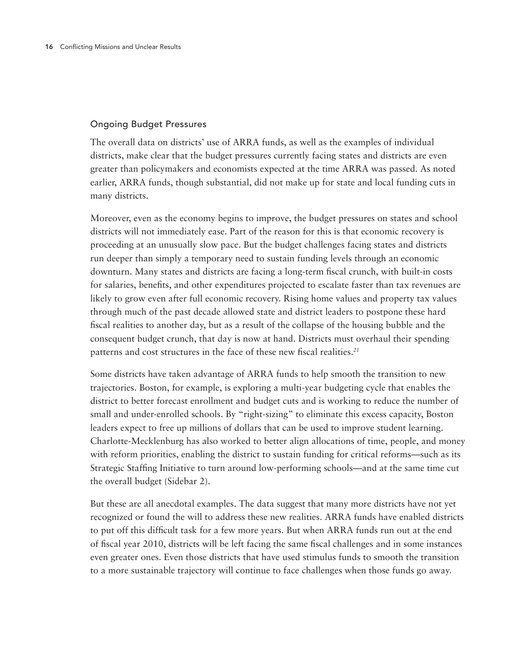# Ongoing Budget Pressures

The overall data on districts' use of ARRA funds, as well as the examples of individual districts, make clear that the budget pressures currently facing states and districts are even greater than policymakers and economists expected at the time ARRA was passed. As noted earlier, ARRA funds, though substantial, did not make up for state and local funding cuts in many districts.

Moreover, even as the economy begins to improve, the budget pressures on states and school districts will not immediately ease. Part of the reason for this is that economic recovery is proceeding at an unusually slow pace. But the budget challenges facing states and districts run deeper than simply a temporary need to sustain funding levels through an economic downturn. Many states and districts are facing a long-term fiscal crunch, with built-in costs for salaries, benefits, and other expenditures projected to escalate faster than tax revenues are likely to grow even after full economic recovery. Rising home values and property tax values through much of the past decade allowed state and district leaders to postpone these hard fiscal realities to another day, but as a result of the collapse of the housing bubble and the consequent budget crunch, that day is now at hand. Districts must overhaul their spending patterns and cost structures in the face of these new fiscal realities.*<sup>21</sup>*

Some districts have taken advantage of ARRA funds to help smooth the transition to new trajectories. Boston, for example, is exploring a multi-year budgeting cycle that enables the district to better forecast enrollment and budget cuts and is working to reduce the number of small and under-enrolled schools. By "right-sizing" to eliminate this excess capacity, Boston leaders expect to free up millions of dollars that can be used to improve student learning. Charlotte-Mecklenburg has also worked to better align allocations of time, people, and money with reform priorities, enabling the district to sustain funding for critical reforms—such as its Strategic Staffing Initiative to turn around low-performing schools—and at the same time cut the overall budget (Sidebar 2).

But these are all anecdotal examples. The data suggest that many more districts have not yet recognized or found the will to address these new realities. ARRA funds have enabled districts to put off this difficult task for a few more years. But when ARRA funds run out at the end of fiscal year 2010, districts will be left facing the same fiscal challenges and in some instances even greater ones. Even those districts that have used stimulus funds to smooth the transition to a more sustainable trajectory will continue to face challenges when those funds go away.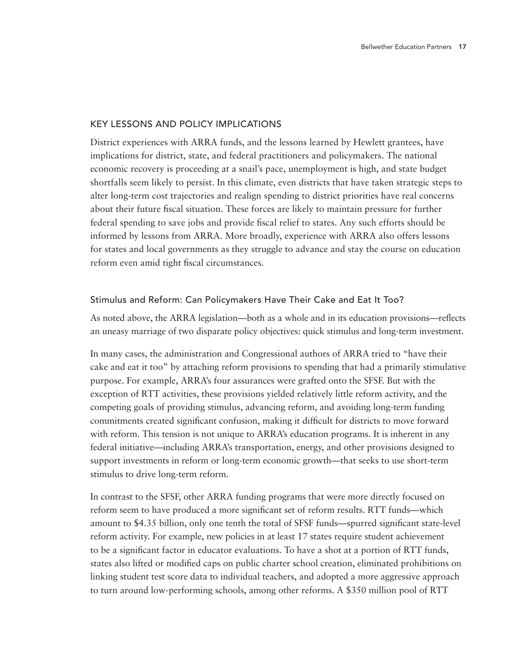# Key Lessons and Policy Implications

District experiences with ARRA funds, and the lessons learned by Hewlett grantees, have implications for district, state, and federal practitioners and policymakers. The national economic recovery is proceeding at a snail's pace, unemployment is high, and state budget shortfalls seem likely to persist. In this climate, even districts that have taken strategic steps to alter long-term cost trajectories and realign spending to district priorities have real concerns about their future fiscal situation. These forces are likely to maintain pressure for further federal spending to save jobs and provide fiscal relief to states. Any such efforts should be informed by lessons from ARRA. More broadly, experience with ARRA also offers lessons for states and local governments as they struggle to advance and stay the course on education reform even amid tight fiscal circumstances.

# Stimulus and Reform: Can Policymakers Have Their Cake and Eat It Too?

As noted above, the ARRA legislation—both as a whole and in its education provisions—reflects an uneasy marriage of two disparate policy objectives: quick stimulus and long-term investment.

In many cases, the administration and Congressional authors of ARRA tried to "have their cake and eat it too" by attaching reform provisions to spending that had a primarily stimulative purpose. For example, ARRA's four assurances were grafted onto the SFSF. But with the exception of RTT activities, these provisions yielded relatively little reform activity, and the competing goals of providing stimulus, advancing reform, and avoiding long-term funding commitments created significant confusion, making it difficult for districts to move forward with reform. This tension is not unique to ARRA's education programs. It is inherent in any federal initiative—including ARRA's transportation, energy, and other provisions designed to support investments in reform or long-term economic growth—that seeks to use short-term stimulus to drive long-term reform.

In contrast to the SFSF, other ARRA funding programs that were more directly focused on reform seem to have produced a more significant set of reform results. RTT funds—which amount to \$4.35 billion, only one tenth the total of SFSF funds—spurred significant state-level reform activity. For example, new policies in at least 17 states require student achievement to be a significant factor in educator evaluations. To have a shot at a portion of RTT funds, states also lifted or modified caps on public charter school creation, eliminated prohibitions on linking student test score data to individual teachers, and adopted a more aggressive approach to turn around low-performing schools, among other reforms. A \$350 million pool of RTT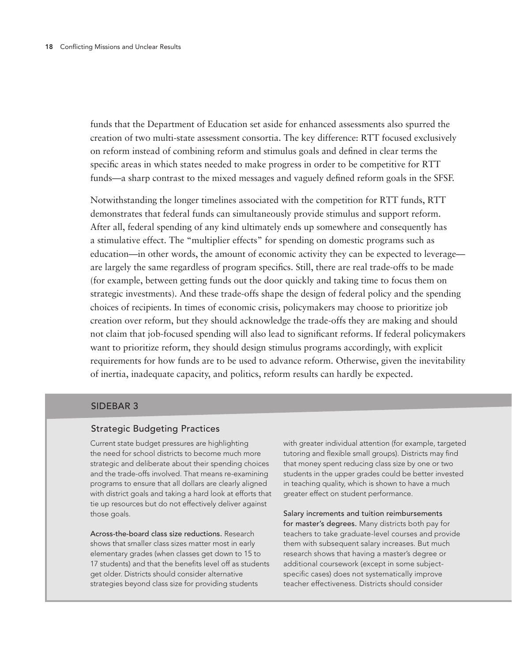funds that the Department of Education set aside for enhanced assessments also spurred the creation of two multi-state assessment consortia. The key difference: RTT focused exclusively on reform instead of combining reform and stimulus goals and defined in clear terms the specific areas in which states needed to make progress in order to be competitive for RTT funds—a sharp contrast to the mixed messages and vaguely defined reform goals in the SFSF.

Notwithstanding the longer timelines associated with the competition for RTT funds, RTT demonstrates that federal funds can simultaneously provide stimulus and support reform. After all, federal spending of any kind ultimately ends up somewhere and consequently has a stimulative effect. The "multiplier effects" for spending on domestic programs such as education—in other words, the amount of economic activity they can be expected to leverage are largely the same regardless of program specifics. Still, there are real trade-offs to be made (for example, between getting funds out the door quickly and taking time to focus them on strategic investments). And these trade-offs shape the design of federal policy and the spending choices of recipients. In times of economic crisis, policymakers may choose to prioritize job creation over reform, but they should acknowledge the trade-offs they are making and should not claim that job-focused spending will also lead to significant reforms. If federal policymakers want to prioritize reform, they should design stimulus programs accordingly, with explicit requirements for how funds are to be used to advance reform. Otherwise, given the inevitability of inertia, inadequate capacity, and politics, reform results can hardly be expected.

#### SIDEBAR 3

#### Strategic Budgeting Practices

Current state budget pressures are highlighting the need for school districts to become much more strategic and deliberate about their spending choices and the trade-offs involved. That means re-examining programs to ensure that all dollars are clearly aligned with district goals and taking a hard look at efforts that tie up resources but do not effectively deliver against those goals.

Across-the-board class size reductions. Research shows that smaller class sizes matter most in early elementary grades (when classes get down to 15 to 17 students) and that the benefits level off as students get older. Districts should consider alternative strategies beyond class size for providing students

with greater individual attention (for example, targeted tutoring and flexible small groups). Districts may find that money spent reducing class size by one or two students in the upper grades could be better invested in teaching quality, which is shown to have a much greater effect on student performance.

Salary increments and tuition reimbursements for master's degrees. Many districts both pay for teachers to take graduate-level courses and provide them with subsequent salary increases. But much research shows that having a master's degree or additional coursework (except in some subjectspecific cases) does not systematically improve teacher effectiveness. Districts should consider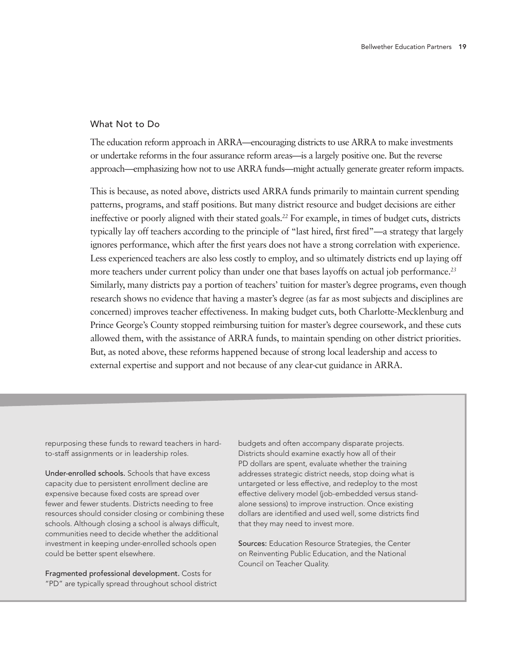#### What Not to Do

The education reform approach in ARRA—encouraging districts to use ARRA to make investments or undertake reforms in the four assurance reform areas—is a largely positive one. But the reverse approach—emphasizing how not to use ARRA funds—might actually generate greater reform impacts.

This is because, as noted above, districts used ARRA funds primarily to maintain current spending patterns, programs, and staff positions. But many district resource and budget decisions are either ineffective or poorly aligned with their stated goals.*<sup>22</sup>* For example, in times of budget cuts, districts typically lay off teachers according to the principle of "last hired, first fired"—a strategy that largely ignores performance, which after the first years does not have a strong correlation with experience. Less experienced teachers are also less costly to employ, and so ultimately districts end up laying off more teachers under current policy than under one that bases layoffs on actual job performance.*<sup>23</sup>* Similarly, many districts pay a portion of teachers' tuition for master's degree programs, even though research shows no evidence that having a master's degree (as far as most subjects and disciplines are concerned) improves teacher effectiveness. In making budget cuts, both Charlotte-Mecklenburg and Prince George's County stopped reimbursing tuition for master's degree coursework, and these cuts allowed them, with the assistance of ARRA funds, to maintain spending on other district priorities. But, as noted above, these reforms happened because of strong local leadership and access to external expertise and support and not because of any clear-cut guidance in ARRA.

repurposing these funds to reward teachers in hardto-staff assignments or in leadership roles.

Under-enrolled schools. Schools that have excess capacity due to persistent enrollment decline are expensive because fixed costs are spread over fewer and fewer students. Districts needing to free resources should consider closing or combining these schools. Although closing a school is always difficult, communities need to decide whether the additional investment in keeping under-enrolled schools open could be better spent elsewhere.

Fragmented professional development. Costs for "PD" are typically spread throughout school district budgets and often accompany disparate projects. Districts should examine exactly how all of their PD dollars are spent, evaluate whether the training addresses strategic district needs, stop doing what is untargeted or less effective, and redeploy to the most effective delivery model (job-embedded versus standalone sessions) to improve instruction. Once existing dollars are identified and used well, some districts find that they may need to invest more.

Sources: Education Resource Strategies, the Center on Reinventing Public Education, and the National Council on Teacher Quality.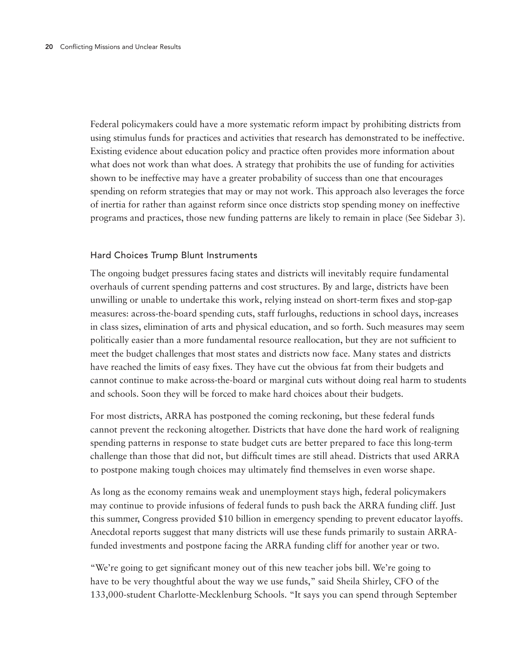Federal policymakers could have a more systematic reform impact by prohibiting districts from using stimulus funds for practices and activities that research has demonstrated to be ineffective. Existing evidence about education policy and practice often provides more information about what does not work than what does. A strategy that prohibits the use of funding for activities shown to be ineffective may have a greater probability of success than one that encourages spending on reform strategies that may or may not work. This approach also leverages the force of inertia for rather than against reform since once districts stop spending money on ineffective programs and practices, those new funding patterns are likely to remain in place (See Sidebar 3).

# Hard Choices Trump Blunt Instruments

The ongoing budget pressures facing states and districts will inevitably require fundamental overhauls of current spending patterns and cost structures. By and large, districts have been unwilling or unable to undertake this work, relying instead on short-term fixes and stop-gap measures: across-the-board spending cuts, staff furloughs, reductions in school days, increases in class sizes, elimination of arts and physical education, and so forth. Such measures may seem politically easier than a more fundamental resource reallocation, but they are not sufficient to meet the budget challenges that most states and districts now face. Many states and districts have reached the limits of easy fixes. They have cut the obvious fat from their budgets and cannot continue to make across-the-board or marginal cuts without doing real harm to students and schools. Soon they will be forced to make hard choices about their budgets.

For most districts, ARRA has postponed the coming reckoning, but these federal funds cannot prevent the reckoning altogether. Districts that have done the hard work of realigning spending patterns in response to state budget cuts are better prepared to face this long-term challenge than those that did not, but difficult times are still ahead. Districts that used ARRA to postpone making tough choices may ultimately find themselves in even worse shape.

As long as the economy remains weak and unemployment stays high, federal policymakers may continue to provide infusions of federal funds to push back the ARRA funding cliff. Just this summer, Congress provided \$10 billion in emergency spending to prevent educator layoffs. Anecdotal reports suggest that many districts will use these funds primarily to sustain ARRAfunded investments and postpone facing the ARRA funding cliff for another year or two.

"We're going to get significant money out of this new teacher jobs bill. We're going to have to be very thoughtful about the way we use funds," said Sheila Shirley, CFO of the 133,000-student Charlotte-Mecklenburg Schools. "It says you can spend through September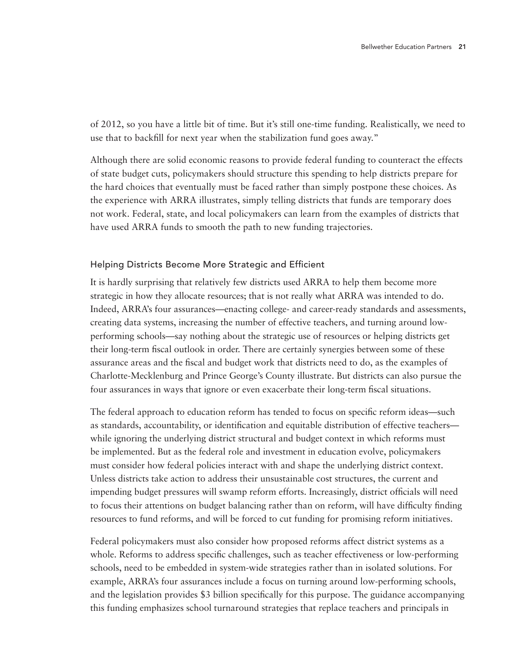of 2012, so you have a little bit of time. But it's still one-time funding. Realistically, we need to use that to backfill for next year when the stabilization fund goes away."

Although there are solid economic reasons to provide federal funding to counteract the effects of state budget cuts, policymakers should structure this spending to help districts prepare for the hard choices that eventually must be faced rather than simply postpone these choices. As the experience with ARRA illustrates, simply telling districts that funds are temporary does not work. Federal, state, and local policymakers can learn from the examples of districts that have used ARRA funds to smooth the path to new funding trajectories.

# Helping Districts Become More Strategic and Efficient

It is hardly surprising that relatively few districts used ARRA to help them become more strategic in how they allocate resources; that is not really what ARRA was intended to do. Indeed, ARRA's four assurances—enacting college- and career-ready standards and assessments, creating data systems, increasing the number of effective teachers, and turning around lowperforming schools—say nothing about the strategic use of resources or helping districts get their long-term fiscal outlook in order. There are certainly synergies between some of these assurance areas and the fiscal and budget work that districts need to do, as the examples of Charlotte-Mecklenburg and Prince George's County illustrate. But districts can also pursue the four assurances in ways that ignore or even exacerbate their long-term fiscal situations.

The federal approach to education reform has tended to focus on specific reform ideas—such as standards, accountability, or identification and equitable distribution of effective teachers while ignoring the underlying district structural and budget context in which reforms must be implemented. But as the federal role and investment in education evolve, policymakers must consider how federal policies interact with and shape the underlying district context. Unless districts take action to address their unsustainable cost structures, the current and impending budget pressures will swamp reform efforts. Increasingly, district officials will need to focus their attentions on budget balancing rather than on reform, will have difficulty finding resources to fund reforms, and will be forced to cut funding for promising reform initiatives.

Federal policymakers must also consider how proposed reforms affect district systems as a whole. Reforms to address specific challenges, such as teacher effectiveness or low-performing schools, need to be embedded in system-wide strategies rather than in isolated solutions. For example, ARRA's four assurances include a focus on turning around low-performing schools, and the legislation provides \$3 billion specifically for this purpose. The guidance accompanying this funding emphasizes school turnaround strategies that replace teachers and principals in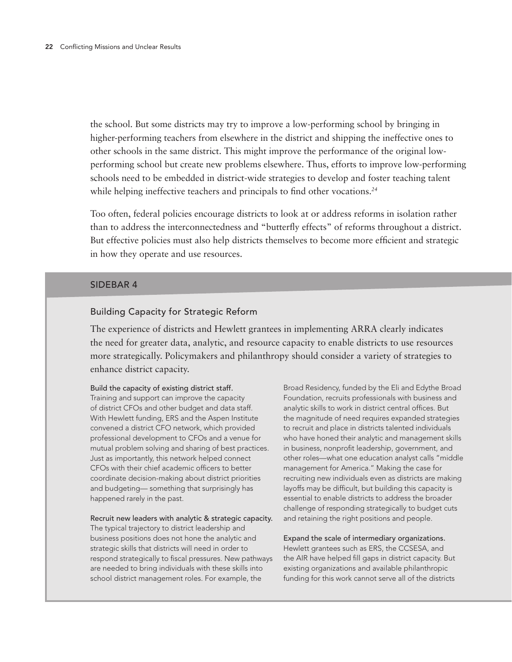the school. But some districts may try to improve a low-performing school by bringing in higher-performing teachers from elsewhere in the district and shipping the ineffective ones to other schools in the same district. This might improve the performance of the original lowperforming school but create new problems elsewhere. Thus, efforts to improve low-performing schools need to be embedded in district-wide strategies to develop and foster teaching talent while helping ineffective teachers and principals to find other vocations.*<sup>24</sup>*

Too often, federal policies encourage districts to look at or address reforms in isolation rather than to address the interconnectedness and "butterfly effects" of reforms throughout a district. But effective policies must also help districts themselves to become more efficient and strategic in how they operate and use resources.

#### SIDEBAR 4

# Building Capacity for Strategic Reform

The experience of districts and Hewlett grantees in implementing ARRA clearly indicates the need for greater data, analytic, and resource capacity to enable districts to use resources more strategically. Policymakers and philanthropy should consider a variety of strategies to enhance district capacity.

#### Build the capacity of existing district staff.

Training and support can improve the capacity of district CFOs and other budget and data staff. With Hewlett funding, ERS and the Aspen Institute convened a district CFO network, which provided professional development to CFOs and a venue for mutual problem solving and sharing of best practices. Just as importantly, this network helped connect CFOs with their chief academic officers to better coordinate decision-making about district priorities and budgeting— something that surprisingly has happened rarely in the past.

#### Recruit new leaders with analytic & strategic capacity.

The typical trajectory to district leadership and business positions does not hone the analytic and strategic skills that districts will need in order to respond strategically to fiscal pressures. New pathways are needed to bring individuals with these skills into school district management roles. For example, the

Broad Residency, funded by the Eli and Edythe Broad Foundation, recruits professionals with business and analytic skills to work in district central offices. But the magnitude of need requires expanded strategies to recruit and place in districts talented individuals who have honed their analytic and management skills in business, nonprofit leadership, government, and other roles—what one education analyst calls "middle management for America." Making the case for recruiting new individuals even as districts are making layoffs may be difficult, but building this capacity is essential to enable districts to address the broader challenge of responding strategically to budget cuts and retaining the right positions and people.

Expand the scale of intermediary organizations. Hewlett grantees such as ERS, the CCSESA, and the AIR have helped fill gaps in district capacity. But existing organizations and available philanthropic funding for this work cannot serve all of the districts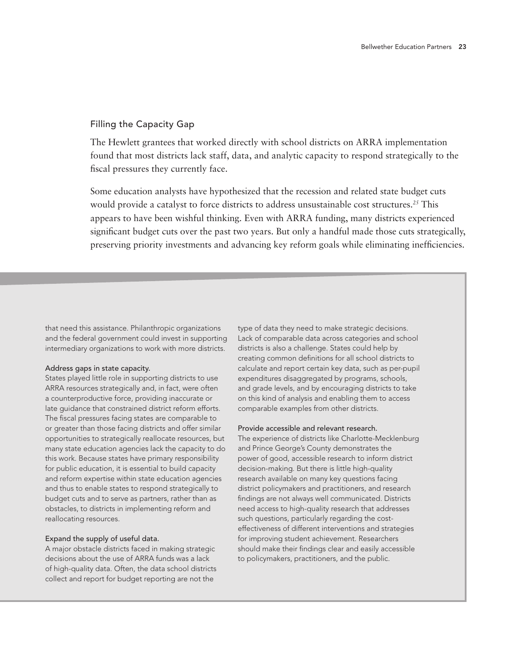#### Filling the Capacity Gap

The Hewlett grantees that worked directly with school districts on ARRA implementation found that most districts lack staff, data, and analytic capacity to respond strategically to the fiscal pressures they currently face.

Some education analysts have hypothesized that the recession and related state budget cuts would provide a catalyst to force districts to address unsustainable cost structures.*<sup>25</sup>* This appears to have been wishful thinking. Even with ARRA funding, many districts experienced significant budget cuts over the past two years. But only a handful made those cuts strategically, preserving priority investments and advancing key reform goals while eliminating inefficiencies.

that need this assistance. Philanthropic organizations and the federal government could invest in supporting intermediary organizations to work with more districts.

#### Address gaps in state capacity.

States played little role in supporting districts to use ARRA resources strategically and, in fact, were often a counterproductive force, providing inaccurate or late guidance that constrained district reform efforts. The fiscal pressures facing states are comparable to or greater than those facing districts and offer similar opportunities to strategically reallocate resources, but many state education agencies lack the capacity to do this work. Because states have primary responsibility for public education, it is essential to build capacity and reform expertise within state education agencies and thus to enable states to respond strategically to budget cuts and to serve as partners, rather than as obstacles, to districts in implementing reform and reallocating resources.

#### Expand the supply of useful data.

A major obstacle districts faced in making strategic decisions about the use of ARRA funds was a lack of high-quality data. Often, the data school districts collect and report for budget reporting are not the

type of data they need to make strategic decisions. Lack of comparable data across categories and school districts is also a challenge. States could help by creating common definitions for all school districts to calculate and report certain key data, such as per-pupil expenditures disaggregated by programs, schools, and grade levels, and by encouraging districts to take on this kind of analysis and enabling them to access comparable examples from other districts.

#### Provide accessible and relevant research.

The experience of districts like Charlotte-Mecklenburg and Prince George's County demonstrates the power of good, accessible research to inform district decision-making. But there is little high-quality research available on many key questions facing district policymakers and practitioners, and research findings are not always well communicated. Districts need access to high-quality research that addresses such questions, particularly regarding the costeffectiveness of different interventions and strategies for improving student achievement. Researchers should make their findings clear and easily accessible to policymakers, practitioners, and the public.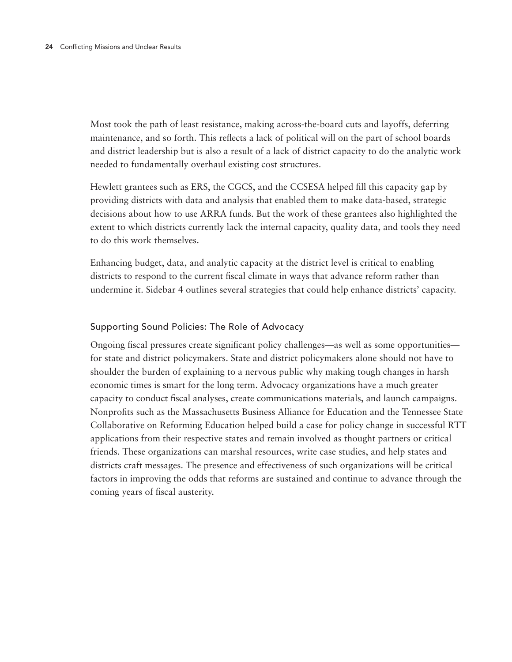Most took the path of least resistance, making across-the-board cuts and layoffs, deferring maintenance, and so forth. This reflects a lack of political will on the part of school boards and district leadership but is also a result of a lack of district capacity to do the analytic work needed to fundamentally overhaul existing cost structures.

Hewlett grantees such as ERS, the CGCS, and the CCSESA helped fill this capacity gap by providing districts with data and analysis that enabled them to make data-based, strategic decisions about how to use ARRA funds. But the work of these grantees also highlighted the extent to which districts currently lack the internal capacity, quality data, and tools they need to do this work themselves.

Enhancing budget, data, and analytic capacity at the district level is critical to enabling districts to respond to the current fiscal climate in ways that advance reform rather than undermine it. Sidebar 4 outlines several strategies that could help enhance districts' capacity.

# Supporting Sound Policies: The Role of Advocacy

Ongoing fiscal pressures create significant policy challenges—as well as some opportunities for state and district policymakers. State and district policymakers alone should not have to shoulder the burden of explaining to a nervous public why making tough changes in harsh economic times is smart for the long term. Advocacy organizations have a much greater capacity to conduct fiscal analyses, create communications materials, and launch campaigns. Nonprofits such as the Massachusetts Business Alliance for Education and the Tennessee State Collaborative on Reforming Education helped build a case for policy change in successful RTT applications from their respective states and remain involved as thought partners or critical friends. These organizations can marshal resources, write case studies, and help states and districts craft messages. The presence and effectiveness of such organizations will be critical factors in improving the odds that reforms are sustained and continue to advance through the coming years of fiscal austerity.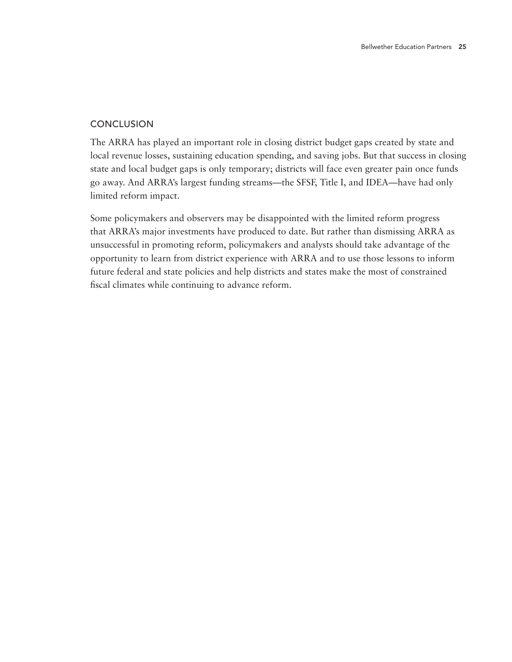# **CONCLUSION**

The ARRA has played an important role in closing district budget gaps created by state and local revenue losses, sustaining education spending, and saving jobs. But that success in closing state and local budget gaps is only temporary; districts will face even greater pain once funds go away. And ARRA's largest funding streams—the SFSF, Title I, and IDEA—have had only limited reform impact.

Some policymakers and observers may be disappointed with the limited reform progress that ARRA's major investments have produced to date. But rather than dismissing ARRA as unsuccessful in promoting reform, policymakers and analysts should take advantage of the opportunity to learn from district experience with ARRA and to use those lessons to inform future federal and state policies and help districts and states make the most of constrained fiscal climates while continuing to advance reform.